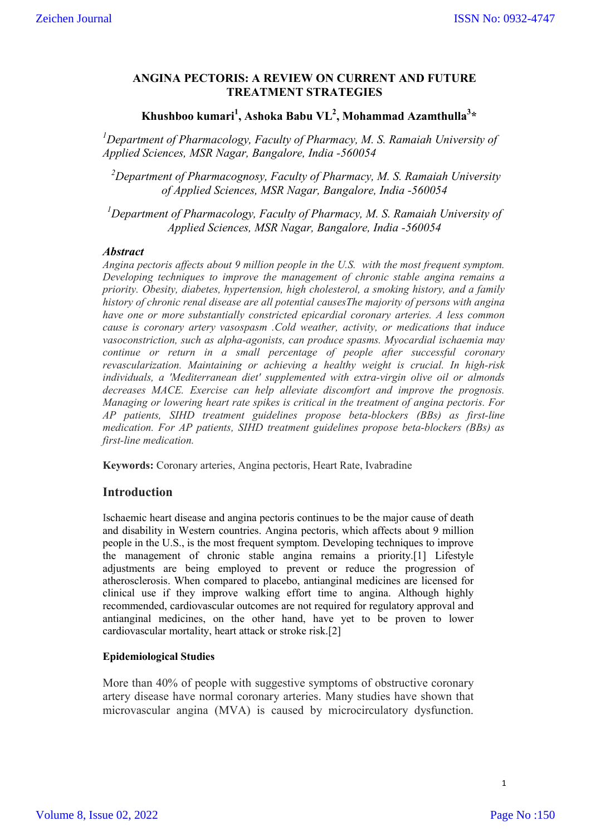### **ANGINA PECTORIS: A REVIEW ON CURRENT AND FUTURE TREATMENT STRATEGIES**

# Khushboo kumari<sup>1</sup>, Ashoka Babu VL<sup>2</sup>, Mohammad Azamthulla<sup>3</sup>\*

<sup>1</sup>Department of Pharmacology, Faculty of Pharmacy, M. S. Ramaiah University of *Applied Sciences, MSR Nagar, Bangalore, India -560054*

*2 Department of Pharmacognosy, Faculty of Pharmacy, M. S. Ramaiah University of Applied Sciences, MSR Nagar, Bangalore, India -560054*

<sup>1</sup>Department of Pharmacology, Faculty of Pharmacy, M. S. Ramaiah University of *Applied Sciences, MSR Nagar, Bangalore, India -560054*

#### *Abstract*

*Angina pectoris affects about 9 million people in the U.S. with the most frequent symptom. Developing techniques to improve the management of chronic stable angina remains a priority. Obesity, diabetes, hypertension, high cholesterol, a smoking history, and a family history of chronic renal disease are all potential causesThe majority of persons with angina have one or more substantially constricted epicardial coronary arteries. A less common cause is coronary artery vasospasm .Cold weather, activity, or medications that induce vasoconstriction, such as alpha-agonists, can produce spasms. Myocardial ischaemia may continue or return in a small percentage of people after successful coronary revascularization. Maintaining or achieving a healthy weight is crucial. In high-risk individuals, a 'Mediterranean diet' supplemented with extra-virgin olive oil or almonds decreases MACE. Exercise can help alleviate discomfort and improve the prognosis. Managing or lowering heart rate spikes is critical in the treatment of angina pectoris. For AP patients, SIHD treatment guidelines propose beta-blockers (BBs) as first-line medication. For AP patients, SIHD treatment guidelines propose beta-blockers (BBs) as first-line medication.*

**Keywords:** Coronary arteries, Angina pectoris, Heart Rate, Ivabradine

## **Introduction**

Ischaemic heart disease and angina pectoris continues to be the major cause of death and disability in Western countries. Angina pectoris, which affects about 9 million people in the U.S., is the most frequent symptom. Developing techniques to improve the management of chronic stable angina remains a priority.[1] Lifestyle adjustments are being employed to prevent or reduce the progression of atherosclerosis. When compared to placebo, antianginal medicines are licensed for clinical use if they improve walking effort time to angina. Although highly recommended, cardiovascular outcomes are not required for regulatory approval and antianginal medicines, on the other hand, have yet to be proven to lower cardiovascular mortality, heart attack or stroke risk.[2]

#### **Epidemiological Studies**

More than 40% of people with suggestive symptoms of obstructive coronary artery disease have normal coronary arteries. Many studies have shown that microvascular angina (MVA) is caused by microcirculatory dysfunction.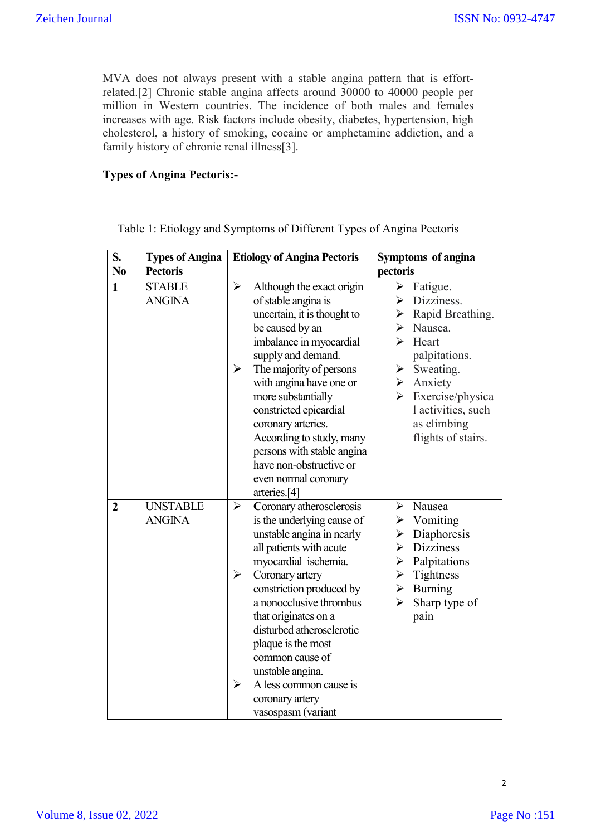MVA does not always present with a stable angina pattern that is effortrelated.[2] Chronic stable angina affects around 30000 to 40000 people per million in Western countries. The incidence of both males and females increases with age. Risk factors include obesity, diabetes, hypertension, high cholesterol, a history of smoking, cocaine or amphetamine addiction, and a family history of chronic renal illness[3].

### **Types of Angina Pectoris:-**

| S.             | <b>Types of Angina</b>           | <b>Etiology of Angina Pectoris</b>                                                                                                                                                                                                                                                                                                                                                                                                         | Symptoms of angina                                                                                                                                                                                                                                                                                 |
|----------------|----------------------------------|--------------------------------------------------------------------------------------------------------------------------------------------------------------------------------------------------------------------------------------------------------------------------------------------------------------------------------------------------------------------------------------------------------------------------------------------|----------------------------------------------------------------------------------------------------------------------------------------------------------------------------------------------------------------------------------------------------------------------------------------------------|
| N <sub>0</sub> | <b>Pectoris</b>                  |                                                                                                                                                                                                                                                                                                                                                                                                                                            | pectoris                                                                                                                                                                                                                                                                                           |
| $\mathbf{1}$   | <b>STABLE</b><br><b>ANGINA</b>   | $\blacktriangleright$<br>Although the exact origin<br>of stable angina is<br>uncertain, it is thought to<br>be caused by an<br>imbalance in myocardial<br>supply and demand.<br>The majority of persons<br>➤<br>with angina have one or<br>more substantially<br>constricted epicardial<br>coronary arteries.<br>According to study, many<br>persons with stable angina<br>have non-obstructive or<br>even normal coronary<br>arteries.[4] | $\triangleright$ Fatigue.<br>$\triangleright$ Dizziness.<br>Rapid Breathing.<br>➤<br>Nausea.<br>➤<br>↘<br>Heart<br>palpitations.<br>$\triangleright$ Sweating.<br>$\triangleright$ Anxiety<br>$\blacktriangleright$<br>Exercise/physica<br>l activities, such<br>as climbing<br>flights of stairs. |
| $\overline{2}$ | <b>UNSTABLE</b><br><b>ANGINA</b> | Coronary atherosclerosis<br>$\blacktriangleright$<br>is the underlying cause of<br>unstable angina in nearly<br>all patients with acute<br>myocardial ischemia.<br>Coronary artery<br>➤<br>constriction produced by<br>a nonocclusive thrombus<br>that originates on a<br>disturbed atherosclerotic<br>plaque is the most<br>common cause of<br>unstable angina.<br>➤<br>A less common cause is<br>coronary artery<br>vasospasm (variant   | $\triangleright$ Nausea<br>$\triangleright$ Vomiting<br>Diaphoresis<br>≻<br>$\triangleright$ Dizziness<br>$\triangleright$ Palpitations<br>$\triangleright$ Tightness<br>$\triangleright$ Burning<br>Sharp type of<br>➤<br>pain                                                                    |

Table 1: Etiology and Symptoms of Different Types of Angina Pectoris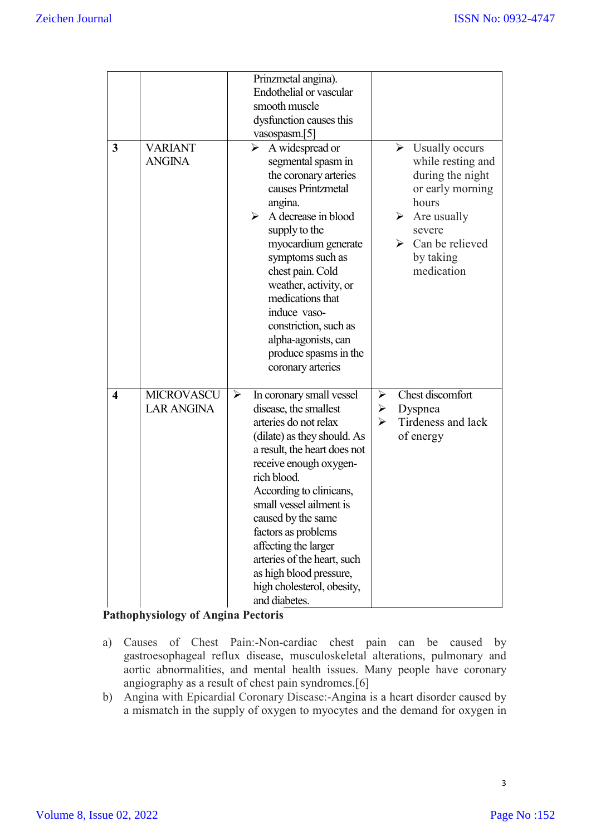| 3                       | <b>VARIANT</b><br><b>ANGINA</b>        | Prinzmetal angina).<br>Endothelial or vascular<br>smooth muscle<br>dysfunction causes this<br>vasospasm.[5]<br>A widespread or<br>➤<br>segmental spasm in<br>the coronary arteries<br>causes Printzmetal<br>angina.<br>A decrease in blood<br>≻<br>supply to the<br>myocardium generate<br>symptoms such as<br>chest pain. Cold<br>weather, activity, or<br>medications that<br>induce vaso-<br>constriction, such as<br>alpha-agonists, can<br>produce spasms in the<br>coronary arteries | $\triangleright$ Usually occurs<br>while resting and<br>during the night<br>or early morning<br>hours<br>Are usually<br>➤<br>severe<br>$\triangleright$ Can be relieved<br>by taking<br>medication |
|-------------------------|----------------------------------------|--------------------------------------------------------------------------------------------------------------------------------------------------------------------------------------------------------------------------------------------------------------------------------------------------------------------------------------------------------------------------------------------------------------------------------------------------------------------------------------------|----------------------------------------------------------------------------------------------------------------------------------------------------------------------------------------------------|
| $\overline{\mathbf{4}}$ | <b>MICROVASCU</b><br><b>LAR ANGINA</b> | ➤<br>In coronary small vessel<br>disease, the smallest<br>arteries do not relax<br>(dilate) as they should. As<br>a result, the heart does not<br>receive enough oxygen-<br>rich blood.<br>According to clinicans,<br>small vessel ailment is<br>caused by the same<br>factors as problems<br>affecting the larger<br>arteries of the heart, such<br>as high blood pressure,<br>high cholesterol, obesity,<br>and diabetes.                                                                | Chest discomfort<br>➤<br>≻<br>Dyspnea<br>Tirdeness and lack<br>➤<br>of energy                                                                                                                      |

## **Pathophysiology of Angina Pectoris**

- a) Causes of Chest Pain:-Non-cardiac chest pain can be caused by gastroesophageal reflux disease, musculoskeletal alterations, pulmonary and aortic abnormalities, and mental health issues. Many people have coronary angiography as a result of chest pain syndromes.[6]
- b) Angina with Epicardial Coronary Disease:-Angina is a heart disorder caused by a mismatch in the supply of oxygen to myocytes and the demand for oxygen in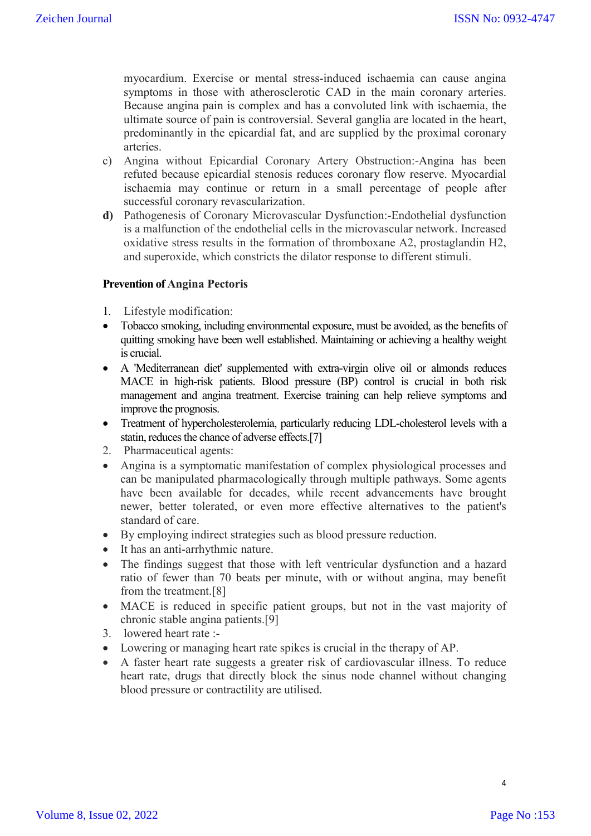myocardium. Exercise or mental stress-induced ischaemia can cause angina symptoms in those with atherosclerotic CAD in the main coronary arteries. Because angina pain is complex and has a convoluted link with ischaemia, the ultimate source of pain is controversial. Several ganglia are located in the heart, predominantly in the epicardial fat, and are supplied by the proximal coronary arteries.

- c) Angina without Epicardial Coronary Artery Obstruction:-Angina has been refuted because epicardial stenosis reduces coronary flow reserve. Myocardial ischaemia may continue or return in a small percentage of people after successful coronary revascularization.
- **d)** Pathogenesis of Coronary Microvascular Dysfunction:-Endothelial dysfunction is a malfunction of the endothelial cells in the microvascular network. Increased oxidative stress results in the formation of thromboxane A2, prostaglandin H2, and superoxide, which constricts the dilator response to different stimuli.

#### **Prevention of Angina Pectoris**

- 1. Lifestyle modification:
- Tobacco smoking, including environmental exposure, must be avoided, as the benefits of quitting smoking have been well established. Maintaining or achieving a healthy weight is crucial.
- A 'Mediterranean diet' supplemented with extra-virgin olive oil or almonds reduces MACE in high-risk patients. Blood pressure (BP) control is crucial in both risk management and angina treatment. Exercise training can help relieve symptoms and improve the prognosis.
- Treatment of hypercholesterolemia, particularly reducing LDL-cholesterol levels with a statin, reduces the chance of adverse effects.[7]
- 2. Pharmaceutical agents:
- Angina is a symptomatic manifestation of complex physiological processes and can be manipulated pharmacologically through multiple pathways. Some agents have been available for decades, while recent advancements have brought newer, better tolerated, or even more effective alternatives to the patient's standard of care.
- By employing indirect strategies such as blood pressure reduction.
- It has an anti-arrhythmic nature.
- The findings suggest that those with left ventricular dysfunction and a hazard ratio of fewer than 70 beats per minute, with or without angina, may benefit from the treatment.[8]
- MACE is reduced in specific patient groups, but not in the vast majority of chronic stable angina patients.[9]
- 3. lowered heart rate :-
- Lowering or managing heart rate spikes is crucial in the therapy of AP.
- A faster heart rate suggests a greater risk of cardiovascular illness. To reduce heart rate, drugs that directly block the sinus node channel without changing blood pressure or contractility are utilised.

4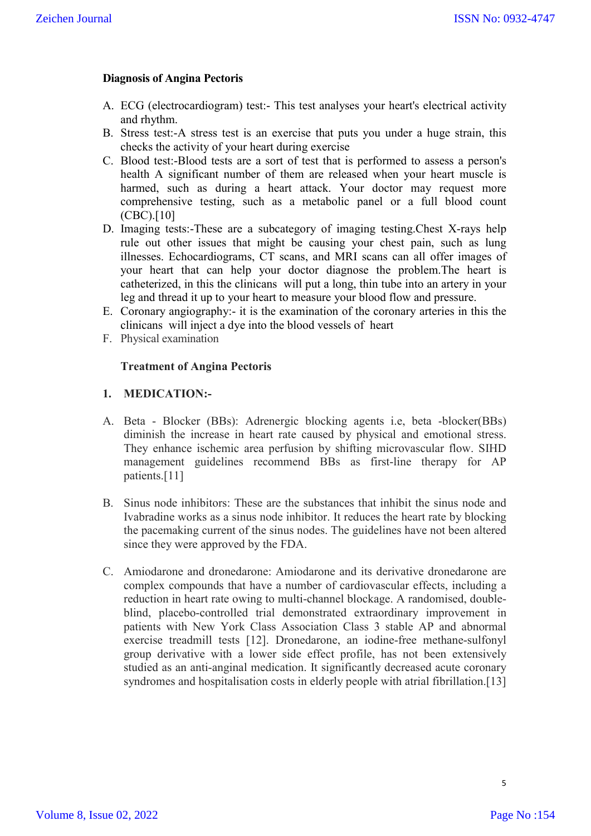### **Diagnosis of Angina Pectoris**

- A. ECG (electrocardiogram) test:- This test analyses your heart's electrical activity and rhythm.
- B. Stress test:-A stress test is an exercise that puts you under a huge strain, this checks the activity of your heart during exercise
- C. Blood test:-Blood tests are a sort of test that is performed to assess a person's health A significant number of them are released when your heart muscle is harmed, such as during a heart attack. Your doctor may request more comprehensive testing, such as a metabolic panel or a full blood count (CBC).[10]
- D. Imaging tests:-These are a subcategory of imaging testing.Chest X-rays help rule out other issues that might be causing your chest pain, such as lung illnesses. Echocardiograms, CT scans, and MRI scans can all offer images of your heart that can help your doctor diagnose the problem.The heart is catheterized, in this the clinicans will put a long, thin tube into an artery in your leg and thread it up to your heart to measure your blood flow and pressure.
- E. Coronary angiography:- it is the examination of the coronary arteries in this the clinicans will inject a dye into the blood vessels of heart
- F. Physical examination

#### **Treatment of Angina Pectoris**

#### **1. MEDICATION:-**

- A. Beta Blocker (BBs): Adrenergic blocking agents i.e, beta -blocker(BBs) diminish the increase in heart rate caused by physical and emotional stress. They enhance ischemic area perfusion by shifting microvascular flow. SIHD management guidelines recommend BBs as first-line therapy for AP patients.[11]
- B. Sinus node inhibitors: These are the substances that inhibit the sinus node and Ivabradine works as a sinus node inhibitor. It reduces the heart rate by blocking the pacemaking current of the sinus nodes. The guidelines have not been altered since they were approved by the FDA.
- C. Amiodarone and dronedarone: Amiodarone and its derivative dronedarone are complex compounds that have a number of cardiovascular effects, including a reduction in heart rate owing to multi-channel blockage. A randomised, doubleblind, placebo-controlled trial demonstrated extraordinary improvement in patients with New York Class Association Class 3 stable AP and abnormal exercise treadmill tests [12]. Dronedarone, an iodine-free methane-sulfonyl group derivative with a lower side effect profile, has not been extensively studied as an anti-anginal medication. It significantly decreased acute coronary syndromes and hospitalisation costs in elderly people with atrial fibrillation.[13]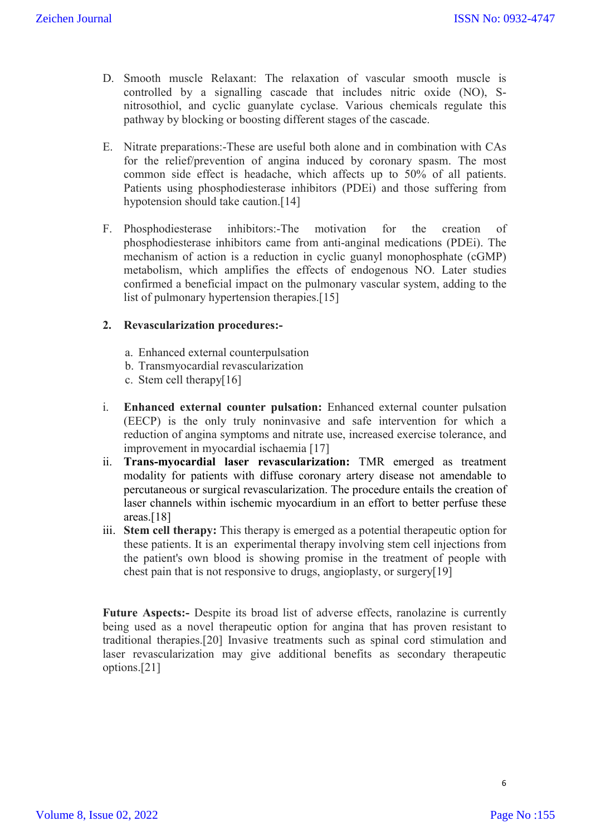- D. Smooth muscle Relaxant: The relaxation of vascular smooth muscle is controlled by a signalling cascade that includes nitric oxide (NO), Snitrosothiol, and cyclic guanylate cyclase. Various chemicals regulate this pathway by blocking or boosting different stages of the cascade.
- E. Nitrate preparations:-These are useful both alone and in combination with CAs for the relief/prevention of angina induced by coronary spasm. The most common side effect is headache, which affects up to 50% of all patients. Patients using phosphodiesterase inhibitors (PDEi) and those suffering from hypotension should take caution.<sup>[14]</sup>
- F. Phosphodiesterase inhibitors:-The motivation for the creation of phosphodiesterase inhibitors came from anti-anginal medications (PDEi). The mechanism of action is a reduction in cyclic guanyl monophosphate (cGMP) metabolism, which amplifies the effects of endogenous NO. Later studies confirmed a beneficial impact on the pulmonary vascular system, adding to the list of pulmonary hypertension therapies.[15]

## **2. Revascularization procedures:-**

- a. Enhanced external counterpulsation
- b. Transmyocardial revascularization
- c. Stem cell therapy[16]
- i. **Enhanced external counter pulsation:** Enhanced external counter pulsation (EECP) is the only truly noninvasive and safe intervention for which a reduction of angina symptoms and nitrate use, increased exercise tolerance, and improvement in myocardial ischaemia [17]
- ii. **Trans-myocardial laser revascularization:** TMR emerged as treatment modality for patients with diffuse coronary artery disease not amendable to percutaneous or surgical revascularization. The procedure entails the creation of laser channels within ischemic myocardium in an effort to better perfuse these areas.[18]
- iii. **Stem cell therapy:** This therapy is emerged as a potential therapeutic option for these patients. It is an experimental therapy involving stem cell injections from the patient's own blood is showing promise in the treatment of people with chest pain that is not responsive to drugs, angioplasty, or surgery[19]

Future Aspects:- Despite its broad list of adverse effects, ranolazine is currently being used as a novel therapeutic option for angina that has proven resistant to traditional therapies.[20] Invasive treatments such as spinal cord stimulation and laser revascularization may give additional benefits as secondary therapeutic options.[21]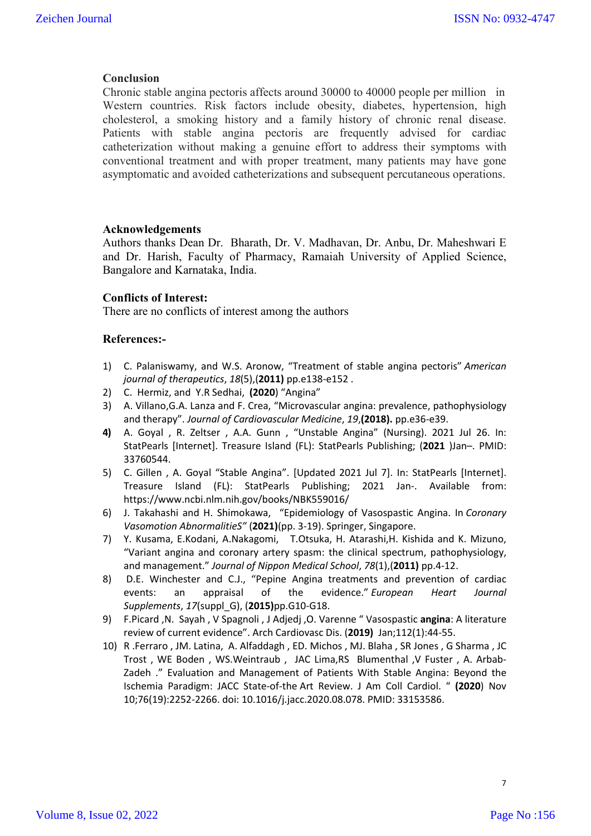#### **Conclusion**

Chronic stable angina pectoris affects around 30000 to 40000 people per million in Western countries. Risk factors include obesity, diabetes, hypertension, high cholesterol, a smoking history and a family history of chronic renal disease. Patients with stable angina pectoris are frequently advised for cardiac catheterization without making a genuine effort to address their symptoms with conventional treatment and with proper treatment, many patients may have gone asymptomatic and avoided catheterizations and subsequent percutaneous operations.

#### **Acknowledgements**

Authors thanks Dean Dr. Bharath, Dr. V. Madhavan, Dr. Anbu, Dr. Maheshwari E and Dr. Harish, Faculty of Pharmacy, Ramaiah University of Applied Science, Bangalore and Karnataka, India.

#### **Conflicts of Interest:**

There are no conflicts of interest among the authors

#### **References:-**

- 1) C. Palaniswamy, and W.S. Aronow, "Treatment of stable angina pectoris" *American journal of therapeutics*, *18*(5),(**2011)** pp.e138-e152 .
- 2) C. Hermiz, and Y.R Sedhai, **(2020**) "Angina"
- 3) A. Villano,G.A. Lanza and F. Crea, "Microvascular angina: prevalence, pathophysiology and therapy". *Journal of Cardiovascular Medicine*, *19*,**(2018).** pp.e36-e39.
- **4)** A. Goyal , R. Zeltser , A.A. Gunn , "Unstable Angina" (Nursing). 2021 Jul 26. In: StatPearls [Internet]. Treasure Island (FL): StatPearls Publishing; (**2021** )Jan–. PMID: 33760544.
- 5) C. Gillen , A. Goyal "Stable Angina". [Updated 2021 Jul 7]. In: StatPearls [Internet]. Treasure Island (FL): StatPearls Publishing; 2021 Jan-. Available from: https://www.ncbi.nlm.nih.gov/books/NBK559016/
- 6) J. Takahashi and H. Shimokawa, "Epidemiology of Vasospastic Angina. In *Coronary Vasomotion AbnormalitieS"* (**2021)**(pp. 3-19). Springer, Singapore.
- 7) Y. Kusama, E.Kodani, A.Nakagomi, T.Otsuka, H. Atarashi,H. Kishida and K. Mizuno, "Variant angina and coronary artery spasm: the clinical spectrum, pathophysiology, and management." *Journal of Nippon Medical School*, *78*(1),(**2011)** pp.4-12.
- 8) D.E. Winchester and C.J., "Pepine Angina treatments and prevention of cardiac events: an appraisal of the evidence." *European Heart Journal Supplements*, *17*(suppl\_G), (**2015)**pp.G10-G18.
- 9) F.Picard ,N. Sayah , V Spagnoli , J Adjedj ,O. Varenne " Vasospastic **angina**: A literature review of current evidence". Arch Cardiovasc Dis. (**2019)** Jan;112(1):44-55.
- 10) R .Ferraro , JM. Latina, A. Alfaddagh , ED. Michos , MJ. Blaha , SR Jones , G Sharma , JC Trost , WE Boden , WS.Weintraub , JAC Lima,RS Blumenthal ,V Fuster , A. Arbab-Zadeh ." Evaluation and Management of Patients With Stable Angina: Beyond the Ischemia Paradigm: JACC State-of-the Art Review. J Am Coll Cardiol. " **(2020**) Nov 10;76(19):2252-2266. doi: 10.1016/j.jacc.2020.08.078. PMID: 33153586.